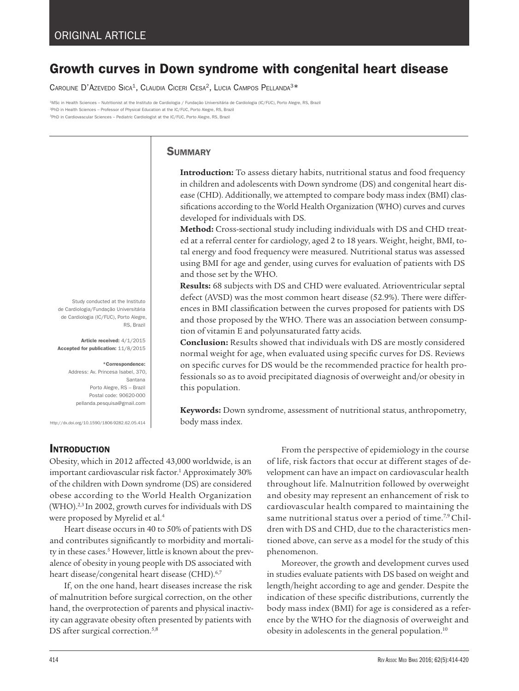# Growth curves in Down syndrome with congenital heart disease

CAROLINE D'AZEVEDO SICA<sup>1</sup>, CLAUDIA CICERI CESA<sup>2</sup>, LUCIA CAMPOS PELLANDA<sup>3\*</sup>

1MSc in Health Sciences – Nutritionist at the Instituto de Cardiologia / Fundação Universitária de Cardiologia (IC/FUC), Porto Alegre, RS, Brazil 2PhD in Health Sciences – Professor of Physical Education at the IC/FUC, Porto Alegre, RS, Brazil 3PhD in Cardiovascular Sciences – Pediatric Cardiologist at the IC/FUC, Porto Alegre, RS, Brazil

### **SUMMARY**

**Introduction:** To assess dietary habits, nutritional status and food frequency in children and adolescents with Down syndrome (DS) and congenital heart disease (CHD). Additionally, we attempted to compare body mass index (BMI) classifications according to the World Health Organization (WHO) curves and curves developed for individuals with DS.

**Method:** Cross-sectional study including individuals with DS and CHD treated at a referral center for cardiology, aged 2 to 18 years. Weight, height, BMI, total energy and food frequency were measured. Nutritional status was assessed using BMI for age and gender, using curves for evaluation of patients with DS and those set by the WHO.

**Results:** 68 subjects with DS and CHD were evaluated. Atrioventricular septal defect (AVSD) was the most common heart disease (52.9%). There were differences in BMI classification between the curves proposed for patients with DS and those proposed by the WHO. There was an association between consumption of vitamin E and polyunsaturated fatty acids.

**Conclusion:** Results showed that individuals with DS are mostly considered normal weight for age, when evaluated using specific curves for DS. Reviews on specific curves for DS would be the recommended practice for health professionals so as to avoid precipitated diagnosis of overweight and/or obesity in this population.

**Keywords:** Down syndrome, assessment of nutritional status, anthropometry, body mass index.

Study conducted at the Instituto de Cardiologia/Fundação Universitária de Cardiologia (IC/FUC), Porto Alegre, RS, Brazil

Article received: 4/1/2015 Accepted for publication: 11/8/2015

#### \*Correspondence:

Address: Av. Princesa Isabel, 370, Santana Porto Alegre, RS – Brazil Postal code: 90620-000 pellanda.pesquisa@gmail.com

http://dx.doi.org/10.1590/1806-9282.62.05.414

## **INTRODUCTION**

Obesity, which in 2012 affected 43,000 worldwide, is an important cardiovascular risk factor.1 Approximately 30% of the children with Down syndrome (DS) are considered obese according to the World Health Organization (WHO).2,3 In 2002, growth curves for individuals with DS were proposed by Myrelid et al.<sup>4</sup>

Heart disease occurs in 40 to 50% of patients with DS and contributes significantly to morbidity and mortality in these cases.<sup>5</sup> However, little is known about the prevalence of obesity in young people with DS associated with heart disease/congenital heart disease (CHD).<sup>6,7</sup>

If, on the one hand, heart diseases increase the risk of malnutrition before surgical correction, on the other hand, the overprotection of parents and physical inactivity can aggravate obesity often presented by patients with DS after surgical correction.<sup>5,8</sup>

From the perspective of epidemiology in the course of life, risk factors that occur at different stages of development can have an impact on cardiovascular health throughout life. Malnutrition followed by overweight and obesity may represent an enhancement of risk to cardiovascular health compared to maintaining the same nutritional status over a period of time.<sup>7,9</sup> Children with DS and CHD, due to the characteristics mentioned above, can serve as a model for the study of this phenomenon.

Moreover, the growth and development curves used in studies evaluate patients with DS based on weight and length/height according to age and gender. Despite the indication of these specific distributions, currently the body mass index (BMI) for age is considered as a reference by the WHO for the diagnosis of overweight and obesity in adolescents in the general population.<sup>10</sup>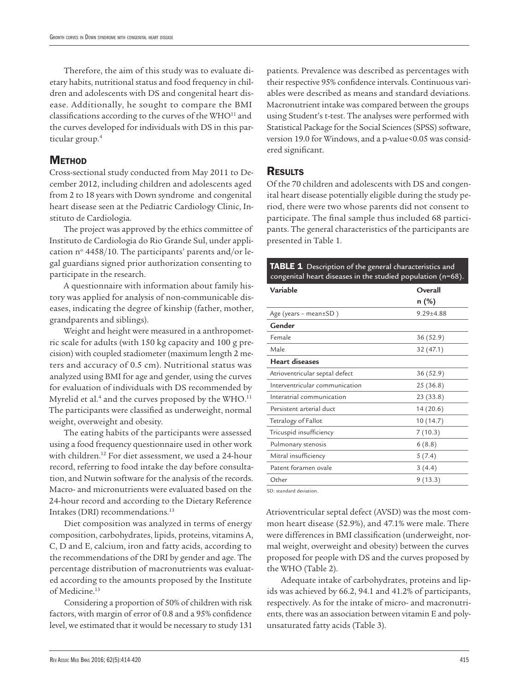Therefore, the aim of this study was to evaluate dietary habits, nutritional status and food frequency in children and adolescents with DS and congenital heart disease. Additionally, he sought to compare the BMI classifications according to the curves of the WHO<sup>11</sup> and the curves developed for individuals with DS in this particular group.4

## **METHOD**

Cross-sectional study conducted from May 2011 to December 2012, including children and adolescents aged from 2 to 18 years with Down syndrome and congenital heart disease seen at the Pediatric Cardiology Clinic, Instituto de Cardiologia.

The project was approved by the ethics committee of Instituto de Cardiologia do Rio Grande Sul, under application nº 4458/10. The participants' parents and/or legal guardians signed prior authorization consenting to participate in the research.

A questionnaire with information about family history was applied for analysis of non-communicable diseases, indicating the degree of kinship (father, mother, grandparents and siblings).

Weight and height were measured in a anthropometric scale for adults (with 150 kg capacity and 100 g precision) with coupled stadiometer (maximum length 2 meters and accuracy of 0.5 cm). Nutritional status was analyzed using BMI for age and gender, using the curves for evaluation of individuals with DS recommended by Myrelid et al.<sup>4</sup> and the curves proposed by the WHO.<sup>11</sup> The participants were classified as underweight, normal weight, overweight and obesity.

The eating habits of the participants were assessed using a food frequency questionnaire used in other work with children.12 For diet assessment, we used a 24-hour record, referring to food intake the day before consultation, and Nutwin software for the analysis of the records. Macro- and micronutrients were evaluated based on the 24-hour record and according to the Dietary Reference Intakes (DRI) recommendations.<sup>13</sup>

Diet composition was analyzed in terms of energy composition, carbohydrates, lipids, proteins, vitamins A, C, D and E, calcium, iron and fatty acids, according to the recommendations of the DRI by gender and age. The percentage distribution of macronutrients was evaluated according to the amounts proposed by the Institute of Medicine.13

Considering a proportion of 50% of children with risk factors, with margin of error of 0.8 and a 95% confidence level, we estimated that it would be necessary to study 131

patients. Prevalence was described as percentages with their respective 95% confidence intervals. Continuous variables were described as means and standard deviations. Macronutrient intake was compared between the groups using Student's t-test. The analyses were performed with Statistical Package for the Social Sciences (SPSS) software, version 19.0 for Windows, and a p-value<0.05 was considered significant.

## **RESULTS**

Of the 70 children and adolescents with DS and congenital heart disease potentially eligible during the study period, there were two whose parents did not consent to participate. The final sample thus included 68 participants. The general characteristics of the participants are presented in Table 1.

| <b>TABLE 1</b> Description of the general characteristics and<br>congenital heart diseases in the studied population (n=68). |               |  |  |  |  |  |
|------------------------------------------------------------------------------------------------------------------------------|---------------|--|--|--|--|--|
| Variable                                                                                                                     | Overall       |  |  |  |  |  |
|                                                                                                                              | n (%)         |  |  |  |  |  |
| Age (years - mean±SD)                                                                                                        | $9.29 + 4.88$ |  |  |  |  |  |
| Gender                                                                                                                       |               |  |  |  |  |  |
| Female                                                                                                                       | 36(52.9)      |  |  |  |  |  |
| Male                                                                                                                         | 32(47.1)      |  |  |  |  |  |
| <b>Heart diseases</b>                                                                                                        |               |  |  |  |  |  |
| Atrioventricular septal defect                                                                                               | 36(52.9)      |  |  |  |  |  |
| Interventricular communication                                                                                               | 25(36.8)      |  |  |  |  |  |
| Interatrial communication                                                                                                    | 23 (33.8)     |  |  |  |  |  |
| Persistent arterial duct                                                                                                     | 14(20.6)      |  |  |  |  |  |
| Tetralogy of Fallot                                                                                                          | 10(14.7)      |  |  |  |  |  |
| Tricuspid insufficiency                                                                                                      | 7(10.3)       |  |  |  |  |  |
| Pulmonary stenosis                                                                                                           | 6(8.8)        |  |  |  |  |  |
| Mitral insufficiency                                                                                                         | 5(7.4)        |  |  |  |  |  |
| Patent foramen ovale                                                                                                         | 3(4.4)        |  |  |  |  |  |
| Other                                                                                                                        | 9(13.3)       |  |  |  |  |  |

SD: standard deviation.

Atrioventricular septal defect (AVSD) was the most common heart disease (52.9%), and 47.1% were male. There were differences in BMI classification (underweight, normal weight, overweight and obesity) between the curves proposed for people with DS and the curves proposed by the WHO (Table 2).

Adequate intake of carbohydrates, proteins and lipids was achieved by 66.2, 94.1 and 41.2% of participants, respectively. As for the intake of micro- and macronutrients, there was an association between vitamin E and polyunsaturated fatty acids (Table 3).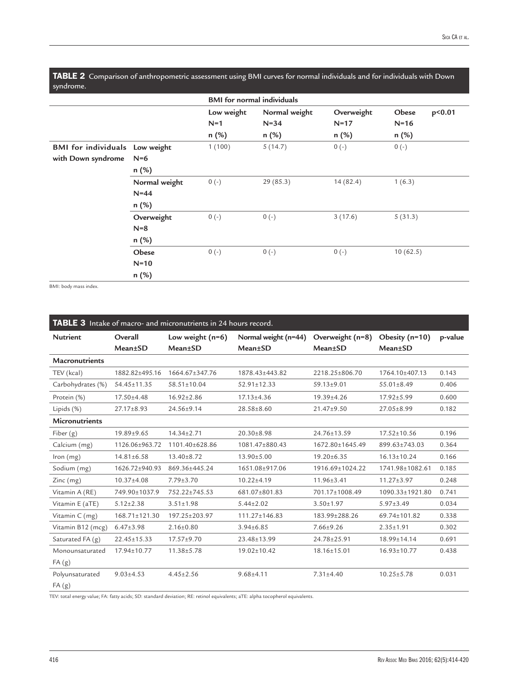TABLE 2 Comparison of anthropometric assessment using BMI curves for normal individuals and for individuals with Down syndrome.

|                                |               | <b>BMI</b> for normal individuals |               |            |                 |  |  |
|--------------------------------|---------------|-----------------------------------|---------------|------------|-----------------|--|--|
|                                |               | Low weight                        | Normal weight | Overweight | Obese<br>p<0.01 |  |  |
|                                |               | $N=1$                             | $N = 34$      | $N=17$     | $N=16$          |  |  |
|                                |               | n (%)                             | n (%)         | $n$ (%)    | n (%)           |  |  |
| BMI for individuals Low weight |               | 1(100)                            | 5(14.7)       | $0 (-)$    | $0(-)$          |  |  |
| with Down syndrome             | $N=6$         |                                   |               |            |                 |  |  |
|                                | n (%)         |                                   |               |            |                 |  |  |
|                                | Normal weight | $0(-)$                            | 29 (85.3)     | 14(82.4)   | 1(6.3)          |  |  |
|                                | $N=44$        |                                   |               |            |                 |  |  |
|                                | $n$ (%)       |                                   |               |            |                 |  |  |
|                                | Overweight    | $0(-)$                            | $0(-)$        | 3(17.6)    | 5(31.3)         |  |  |
|                                | $N=8$         |                                   |               |            |                 |  |  |
|                                | $n$ (%)       |                                   |               |            |                 |  |  |
|                                | Obese         | $0 (-)$                           | $0 (-)$       | $0 (-)$    | 10(62.5)        |  |  |
|                                | $N=10$        |                                   |               |            |                 |  |  |
|                                | n (%)         |                                   |               |            |                 |  |  |

BMI: body mass index.

| <b>TABLE 3</b> Intake of macro- and micronutrients in 24 hours record. |                  |                    |                      |                   |                   |         |  |  |  |
|------------------------------------------------------------------------|------------------|--------------------|----------------------|-------------------|-------------------|---------|--|--|--|
| <b>Nutrient</b>                                                        | Overall          | Low weight $(n=6)$ | Normal weight (n=44) | Overweight (n=8)  | Obesity (n=10)    | p-value |  |  |  |
|                                                                        | <b>Mean</b> ±SD  | <b>Mean</b> ±SD    | <b>Mean</b> ±SD      | <b>Mean</b> ±SD   | <b>Mean</b> ±SD   |         |  |  |  |
| <b>Macronutrients</b>                                                  |                  |                    |                      |                   |                   |         |  |  |  |
| TEV (kcal)                                                             | 1882.82±495.16   | 1664.67±347.76     | 1878.43±443.82       | 2218.25±806.70    | 1764.10±407.13    | 0.143   |  |  |  |
| Carbohydrates (%)                                                      | 54.45±11.35      | 58.51±10.04        | $52.91 \pm 12.33$    | 59.13±9.01        | $55.01 \pm 8.49$  | 0.406   |  |  |  |
| Protein (%)                                                            | 17.50±4.48       | $16.92 \pm 2.86$   | $17.13 \pm 4.36$     | 19.39±4.26        | $17.92 \pm 5.99$  | 0.600   |  |  |  |
| Lipids $(\%)$                                                          | 27.17±8.93       | 24.56±9.14         | 28.58±8.60           | 21.47±9.50        | 27.05±8.99        | 0.182   |  |  |  |
| <b>Micronutrients</b>                                                  |                  |                    |                      |                   |                   |         |  |  |  |
| Fiber $(g)$                                                            | 19.89±9.65       | 14.34±2.71         | 20.30±8.98           | 24.76±13.59       | $17.52 \pm 10.56$ | 0.196   |  |  |  |
| Calcium (mg)                                                           | 1126.06±963.72   | 1101.40±628.86     | 1081.47±880.43       | 1672.80±1645.49   | 899.63±743.03     | 0.364   |  |  |  |
| lron(mg)                                                               | $14.81 \pm 6.58$ | $13.40 \pm 8.72$   | $13.90 \pm 5.00$     | $19.20 \pm 6.35$  | $16.13 \pm 10.24$ | 0.166   |  |  |  |
| Sodium (mg)                                                            | 1626.72±940.93   | 869.36±445.24      | 1651.08±917.06       | 1916.69±1024.22   | 1741.98±1082.61   | 0.185   |  |  |  |
| Zinc(mg)                                                               | 10.37±4.08       | 7.79±3.70          | $10.22{\pm}4.19$     | $11.96 \pm 3.41$  | $11.27 \pm 3.97$  | 0.248   |  |  |  |
| Vitamin A (RE)                                                         | 749.90±1037.9    | 752.22±745.53      | 681.07±801.83        | 701.17±1008.49    | 1090.33±1921.80   | 0.741   |  |  |  |
| Vitamin E (aTE)                                                        | $5.12 \pm 2.38$  | $3.51 \pm 1.98$    | $5.44 \pm 2.02$      | $3.50 \pm 1.97$   | $5.97 \pm 3.49$   | 0.034   |  |  |  |
| Vitamin C (mg)                                                         | 168.71±121.30    | 197.25±203.97      | 111.27±146.83        | 183.99±288.26     | 69.74±101.82      | 0.338   |  |  |  |
| Vitamin B12 (mcg)                                                      | $6.47 \pm 3.98$  | $2.16 \pm 0.80$    | $3.94 \pm 6.85$      | $7.66 \pm 9.26$   | $2.35 \pm 1.91$   | 0.302   |  |  |  |
| Saturated FA (g)                                                       | 22.45±15.33      | 17.57±9.70         | 23.48±13.99          | 24.78±25.91       | 18.99±14.14       | 0.691   |  |  |  |
| Monounsaturated                                                        | 17.94±10.77      | $11.38 \pm 5.78$   | 19.02±10.42          | $18.16 \pm 15.01$ | $16.93 \pm 10.77$ | 0.438   |  |  |  |
| FA(g)                                                                  |                  |                    |                      |                   |                   |         |  |  |  |
| Polyunsaturated                                                        | $9.03 \pm 4.53$  | $4.45 \pm 2.56$    | $9.68 + 4.11$        | $7.31 \pm 4.40$   | $10.25 \pm 5.78$  | 0.031   |  |  |  |
| FA(g)                                                                  |                  |                    |                      |                   |                   |         |  |  |  |

TEV: total energy value; FA: fatty acids; SD: standard deviation; RE: retinol equivalents; aTE: alpha tocopherol equivalents.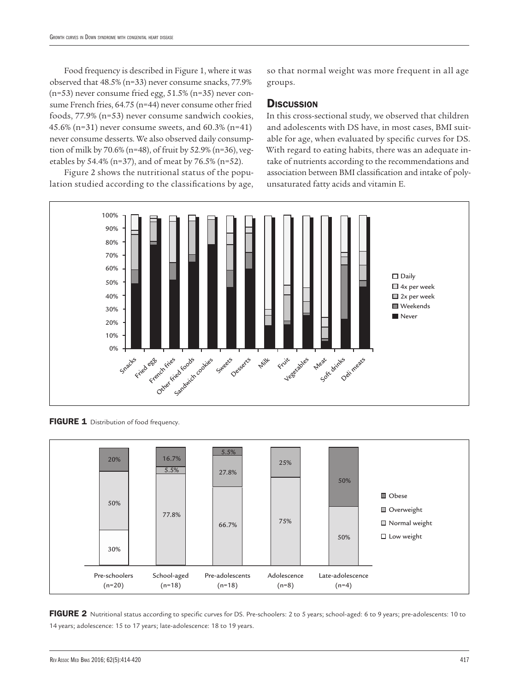Food frequency is described in Figure 1, where it was observed that 48.5% (n=33) never consume snacks, 77.9% (n=53) never consume fried egg, 51.5% (n=35) never consume French fries, 64.75 (n=44) never consume other fried foods, 77.9% (n=53) never consume sandwich cookies, 45.6% (n=31) never consume sweets, and 60.3% (n=41) never consume desserts. We also observed daily consumption of milk by 70.6% (n=48), of fruit by 52.9% (n=36), vegetables by 54.4% (n=37), and of meat by 76.5% (n=52).

Figure 2 shows the nutritional status of the population studied according to the classifications by age, so that normal weight was more frequent in all age groups.

#### **DISCUSSION**

In this cross-sectional study, we observed that children and adolescents with DS have, in most cases, BMI suitable for age, when evaluated by specific curves for DS. With regard to eating habits, there was an adequate intake of nutrients according to the recommendations and association between BMI classification and intake of polyunsaturated fatty acids and vitamin E.



FIGURE 1 Distribution of food frequency.



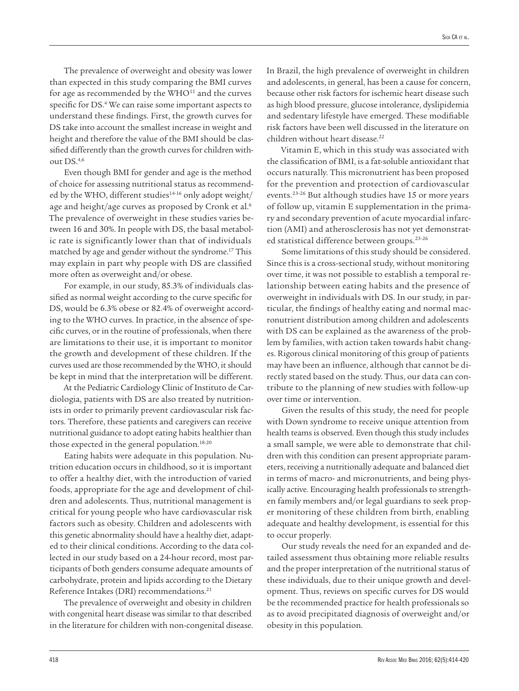The prevalence of overweight and obesity was lower than expected in this study comparing the BMI curves for age as recommended by the  $WHO^{11}$  and the curves specific for DS.4 We can raise some important aspects to understand these findings. First, the growth curves for DS take into account the smallest increase in weight and height and therefore the value of the BMI should be classified differently than the growth curves for children without DS.4,6

Even though BMI for gender and age is the method of choice for assessing nutritional status as recommended by the WHO, different studies<sup>14-16</sup> only adopt weight/ age and height/age curves as proposed by Cronk et al.<sup>6</sup> The prevalence of overweight in these studies varies between 16 and 30%. In people with DS, the basal metabolic rate is significantly lower than that of individuals matched by age and gender without the syndrome.17 This may explain in part why people with DS are classified more often as overweight and/or obese.

For example, in our study, 85.3% of individuals classified as normal weight according to the curve specific for DS, would be 6.3% obese or 82.4% of overweight according to the WHO curves. In practice, in the absence of specific curves, or in the routine of professionals, when there are limitations to their use, it is important to monitor the growth and development of these children. If the curves used are those recommended by the WHO, it should be kept in mind that the interpretation will be different.

At the Pediatric Cardiology Clinic of Instituto de Cardiologia, patients with DS are also treated by nutritionists in order to primarily prevent cardiovascular risk factors. Therefore, these patients and caregivers can receive nutritional guidance to adopt eating habits healthier than those expected in the general population.18-20

Eating habits were adequate in this population. Nutrition education occurs in childhood, so it is important to offer a healthy diet, with the introduction of varied foods, appropriate for the age and development of children and adolescents. Thus, nutritional management is critical for young people who have cardiovascular risk factors such as obesity. Children and adolescents with this genetic abnormality should have a healthy diet, adapted to their clinical conditions. According to the data collected in our study based on a 24-hour record, most participants of both genders consume adequate amounts of carbohydrate, protein and lipids according to the Dietary Reference Intakes (DRI) recommendations.21

The prevalence of overweight and obesity in children with congenital heart disease was similar to that described in the literature for children with non-congenital disease. In Brazil, the high prevalence of overweight in children and adolescents, in general, has been a cause for concern, because other risk factors for ischemic heart disease such as high blood pressure, glucose intolerance, dyslipidemia and sedentary lifestyle have emerged. These modifiable risk factors have been well discussed in the literature on children without heart disease.<sup>22</sup>

Vitamin E, which in this study was associated with the classification of BMI, is a fat-soluble antioxidant that occurs naturally. This micronutrient has been proposed for the prevention and protection of cardiovascular events.23-26 But although studies have 15 or more years of follow up, vitamin E supplementation in the primary and secondary prevention of acute myocardial infarction (AMI) and atherosclerosis has not yet demonstrated statistical difference between groups.23-26

Some limitations of this study should be considered. Since this is a cross-sectional study, without monitoring over time, it was not possible to establish a temporal relationship between eating habits and the presence of overweight in individuals with DS. In our study, in particular, the findings of healthy eating and normal macronutrient distribution among children and adolescents with DS can be explained as the awareness of the problem by families, with action taken towards habit changes. Rigorous clinical monitoring of this group of patients may have been an influence, although that cannot be directly stated based on the study. Thus, our data can contribute to the planning of new studies with follow-up over time or intervention.

Given the results of this study, the need for people with Down syndrome to receive unique attention from health teams is observed. Even though this study includes a small sample, we were able to demonstrate that children with this condition can present appropriate parameters, receiving a nutritionally adequate and balanced diet in terms of macro- and micronutrients, and being physically active. Encouraging health professionals to strengthen family members and/or legal guardians to seek proper monitoring of these children from birth, enabling adequate and healthy development, is essential for this to occur properly.

Our study reveals the need for an expanded and detailed assessment thus obtaining more reliable results and the proper interpretation of the nutritional status of these individuals, due to their unique growth and development. Thus, reviews on specific curves for DS would be the recommended practice for health professionals so as to avoid precipitated diagnosis of overweight and/or obesity in this population.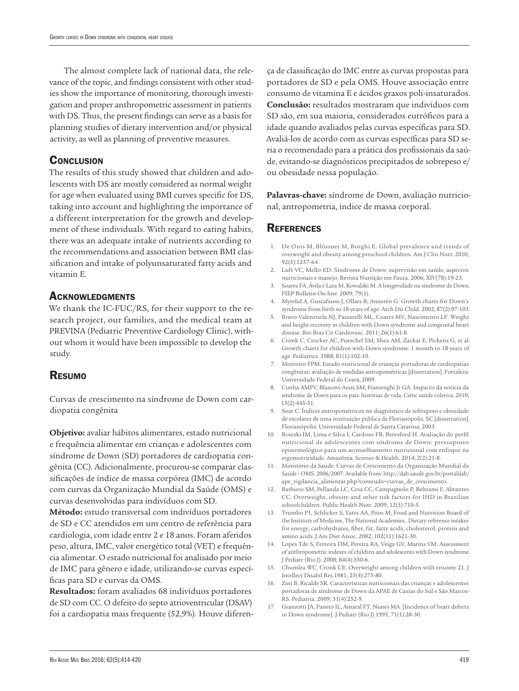The almost complete lack of national data, the relevance of the topic, and findings consistent with other studies show the importance of monitoring, thorough investigation and proper anthropometric assessment in patients with DS. Thus, the present findings can serve as a basis for planning studies of dietary intervention and/or physical activity, as well as planning of preventive measures.

## **CONCLUSION**

The results of this study showed that children and adolescents with DS are mostly considered as normal weight for age when evaluated using BMI curves specific for DS, taking into account and highlighting the importance of a different interpretation for the growth and development of these individuals. With regard to eating habits, there was an adequate intake of nutrients according to the recommendations and association between BMI classification and intake of polyunsaturated fatty acids and vitamin E.

### **ACKNOWLEDGMENTS**

We thank the IC-FUC/RS, for their support to the research project, our families, and the medical team at PREVINA (Pediatric Preventive Cardiology Clinic), without whom it would have been impossible to develop the study.

## Resumo

Curvas de crescimento na síndrome de Down com cardiopatia congênita

**Objetivo:** avaliar hábitos alimentares, estado nutricional e frequência alimentar em crianças e adolescentes com síndrome de Down (SD) portadores de cardiopatia congênita (CC). Adicionalmente, procurou-se comparar classificações de índice de massa corpórea (IMC) de acordo com curvas da Organização Mundial da Saúde (OMS) e curvas desenvolvidas para indivíduos com SD.

**Método:** estudo transversal com indivíduos portadores de SD e CC atendidos em um centro de referência para cardiologia, com idade entre 2 e 18 anos. Foram aferidos peso, altura, IMC, valor energético total (VET) e frequência alimentar. O estado nutricional foi analisado por meio de IMC para gênero e idade, utilizando-se curvas específicas para SD e curvas da OMS.

**Resultados:** foram avaliados 68 indivíduos portadores de SD com CC. O defeito do septo atrioventricular (DSAV) foi a cardiopatia mais frequente (52,9%). Houve diferen-

ça de classificação do IMC entre as curvas propostas para portadores de SD e pela OMS. Houve associação entre consumo de vitamina E e ácidos graxos poli-insaturados. **Conclusão:** resultados mostraram que indivíduos com SD são, em sua maioria, considerados eutróficos para a idade quando avaliados pelas curvas específicas para SD. Avaliá-los de acordo com as curvas específicas para SD seria o recomendado para a prática dos profissionais da saúde, evitando-se diagnósticos precipitados de sobrepeso e/ ou obesidade nessa população.

**Palavras-chave:** síndrome de Down, avaliação nutricional, antropometria, índice de massa corporal.

### **REFERENCES**

- 1. De Onis M, Blössner M, Borghi E. Global prevalence and trends of overweight and obesity among preschool children. Am J Clin Nutr. 2010; 92(5):1257-64.
- 2. Luft VC, Mello ED. Síndrome de Down: supervisão em saúde, aspectos nutricionais e manejo. Revista Nutrição em Pauta. 2006; XIV(78):19-23.
- 3. Soares FA, Ávila e Lara M, Kowalski M. A longevidade na síndrome de Down. FIEP Bulletin On-line. 2009; 79(1).
- 4. Myrelid A, Gustafsson J, Ollars B, Annerén G. Growth charts for Down's syndrome from birth to 18 years of age. Arch Dis Child. 2002; 87(2):97-103.
- 5. Bravo-Valenzuela NJ, Passarelli ML, Coates MV, Nascimento LF. Weight and height recovery in children with Down syndrome and congenital heart disease. Rev Bras Cir Cardiovasc. 2011; 26(1):61-8.
- 6. Cronk C, Crocker AC, Pueschel SM, Shea AM, Zackai E, Pickens G, et al. Growth charts for children with Down syndrome: 1 month to 18 years of age. Pediatrics. 1988; 81(1):102-10.
- 7. Monteiro FPM. Estado nutricional de crianças portadoras de cardiopatias congênitas: avaliação de medidas antropométricas [dissertation]. Fortaleza: Universidade Federal do Ceará; 2009.
- 8. Cunha AMFV, Blascovi-Assis SM, Fiamenghi Jr GA. Impacto da notícia da síndrome de Down para os pais: histórias de vida. Ciênc saúde coletiva. 2010; 15(2):445-51.
- 9. Soar C. Índices antropométricos no diagnóstico de sobrepeso e obesidade de escolares de uma instituição pública de Florianópolis, SC [dissertation]. Florianópolis: Universidade Federal de Santa Catarina; 2003.
- 10. Roieski IM, Lima e Silva I, Cardoso FB, Beresford H. Avaliação do perfil nutricional de adolescentes com síndrome de Down: pressuposto epistemológico para um aconselhamento nutricional com enfoque na ergomotricidade. Amazônia: Science & Health. 2014; 2(2):21-8.
- 11. Ministério da Saúde. Curvas de Crescimento da Organização Mundial da Saúde - OMS. 2006/2007. Available from: http://dab.saude.gov.br/portaldab/ ape\_vigilancia\_alimentar.php?conteudo=curvas\_de\_crescimento.
- 12. Barbiero SM, Pellanda LC, Cesa CC, Campagnolo P, Beltrami F, Abrantes CC. Overweight, obesity and other risk factors for IHD in Brazilian schoolchildren. Public Health Nutr. 2009; 12(5):710-5.
- 13. Trumbo P1, Schlicker S, Yates AA, Poos M; Food and Nutrition Board of the Institute of Medicine, The National Academies.. Dietary reference intakes for energy, carbohydrates, fiber, fat, fatty acids, cholesterol, protein and amino acids. J Am Diet Assoc. 2002; 102(11):1621-30.
- 14. Lopes Tde S, Ferreira DM, Pereira RA, Veiga GV, Marins VM. Assessment of anthropometric indexes of children and adolescents with Down syndrome. J Pediatr (Rio J). 2008; 84(4):350-6.
- 15. Chumlea WC, Cronk CE. Overweight among children with trisomy 21. J Intellect Disabil Res.1981; 25(4):275-80.
- 16. Zini B, Ricalde SR. Características nutricionais das crianças e adolescentes portadoras de síndrome de Down da APAE de Caxias do Sul e São Marcos– RS. Pediatria. 2009; 31(4):252-9.
- 17. Granzotti JA, Paneto IL, Amaral FT, Nunes MA. [Incidence of heart defects in Down syndrome]. J Pediatr (Rio J).1995; 71(1):28-30.